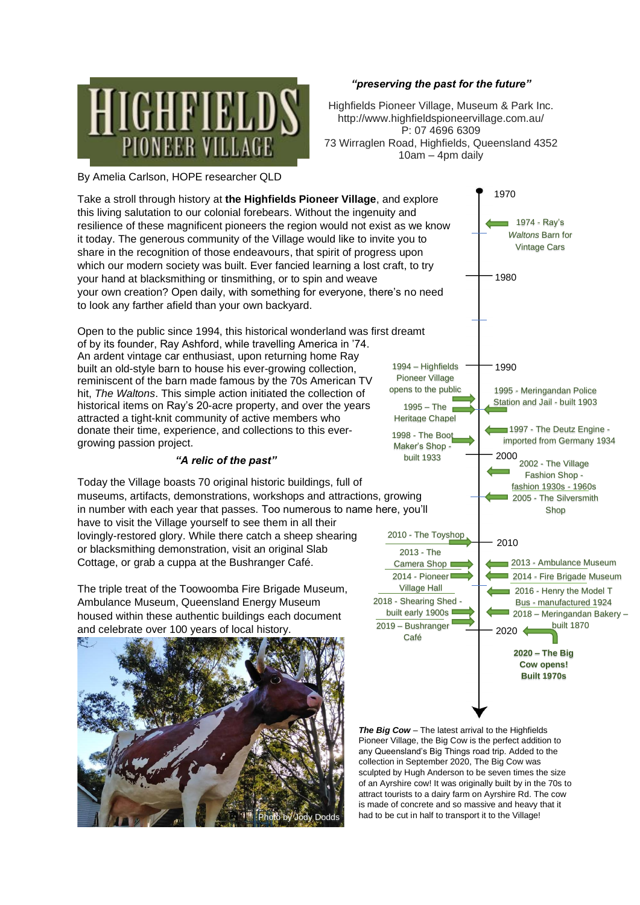

## *"preserving the past for the future"*

Highfields Pioneer Village, Museum & Park Inc. http://www.highfieldspioneervillage.com.au/ P: 07 4696 6309 73 Wirraglen Road, Highfields, Queensland 4352 10am – 4pm daily

By Amelia Carlson, HOPE researcher QLD

Take a stroll through history at **the Highfields Pioneer Village**, and explore this living salutation to our colonial forebears. Without the ingenuity and resilience of these magnificent pioneers the region would not exist as we know it today. The generous community of the Village would like to invite you to share in the recognition of those endeavours, that spirit of progress upon which our modern society was built. Ever fancied learning a lost craft, to try your hand at blacksmithing or tinsmithing, or to spin and weave your own creation? Open daily, with something for everyone, there's no need to look any farther afield than your own backyard.

Open to the public since 1994, this historical wonderland was first dreamt of by its founder, Ray Ashford, while travelling America in '74. An ardent vintage car enthusiast, upon returning home Ray built an old-style barn to house his ever-growing collection, reminiscent of the barn made famous by the 70s American TV hit, *The Waltons*. This simple action initiated the collection of historical items on Ray's 20-acre property, and over the years attracted a tight-knit community of active members who donate their time, experience, and collections to this evergrowing passion project.

## *"A relic of the past"*

Today the Village boasts 70 original historic buildings, full of museums, artifacts, demonstrations, workshops and attractions, growing in number with each year that passes. Too numerous to name here, you'll have to visit the Village yourself to see them in all their lovingly-restored glory. While there catch a sheep shearing or blacksmithing demonstration, visit an original Slab Cottage, or grab a cuppa at the Bushranger Café.

The triple treat of the Toowoomba Fire Brigade Museum, Ambulance Museum, Queensland Energy Museum housed within these authentic buildings each document and celebrate over 100 years of local history.





*The Big Cow* – The latest arrival to the Highfields Pioneer Village, the Big Cow is the perfect addition to any Queensland's Big Things road trip. Added to the collection in September 2020, The Big Cow was sculpted by Hugh Anderson to be seven times the size of an Ayrshire cow! It was originally built by in the 70s to attract tourists to a dairy farm on Ayrshire Rd. The cow is made of concrete and so massive and heavy that it had to be cut in half to transport it to the Village!